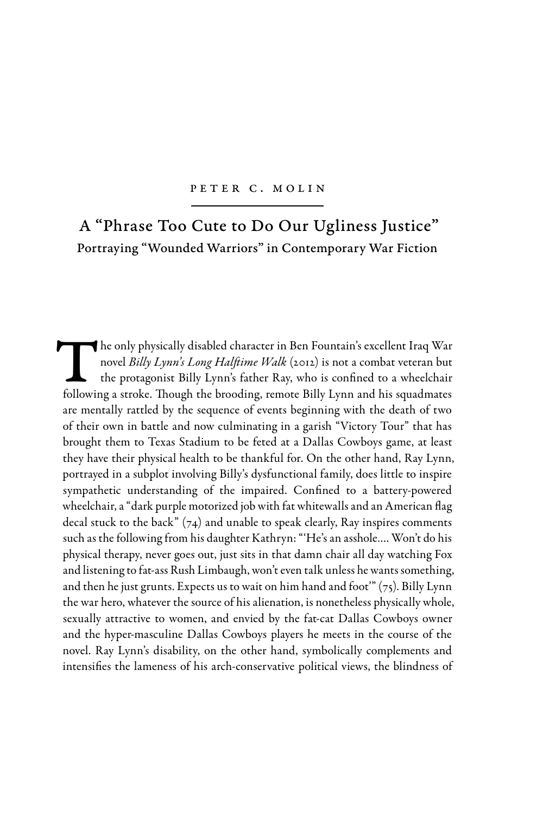## PETER C. MOLIN

# A "Phrase Too Cute to Do Our Ugliness Justice" Portraying "Wounded Warriors" in Contemporary War Fiction

The only physically disabled character in Ben Fountain's excellent Iraq War novel *Billy Lynn's Long Halftime Walk* (2012) is not a combat veteran but the protagonist Billy Lynn's father Ray, who is confined to a wheelchair following a stroke. Though the brooding, remote Billy Lynn and his squadmates are mentally rattled by the sequence of events beginning with the death of two of their own in battle and now culminating in a garish "Victory Tour" that has brought them to Texas Stadium to be feted at a Dallas Cowboys game, at least they have their physical health to be thankful for. On the other hand, Ray Lynn, portrayed in a subplot involving Billy's dysfunctional family, does little to inspire sympathetic understanding of the impaired. Confined to a battery-powered wheelchair, a "dark purple motorized job with fat whitewalls and an American flag decal stuck to the back"  $(74)$  and unable to speak clearly, Ray inspires comments such as the following from his daughter Kathryn: "'He's an asshole…. Won't do his physical therapy, never goes out, just sits in that damn chair all day watching Fox and listening to fat-ass Rush Limbaugh, won't even talk unless he wants something, and then he just grunts. Expects us to wait on him hand and foot"  $(75)$ . Billy Lynn the war hero, whatever the source of his alienation, is nonetheless physically whole, sexually attractive to women, and envied by the fat-cat Dallas Cowboys owner and the hyper-masculine Dallas Cowboys players he meets in the course of the novel. Ray Lynn's disability, on the other hand, symbolically complements and intensifies the lameness of his arch-conservative political views, the blindness of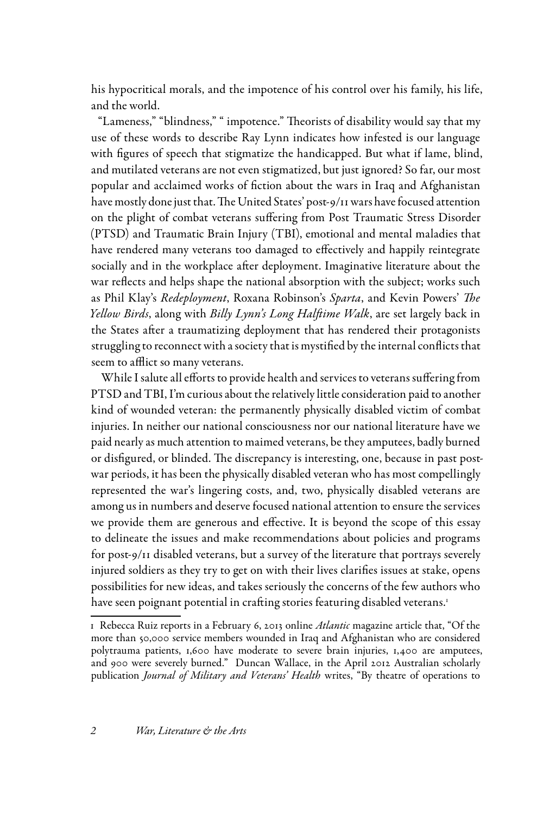his hypocritical morals, and the impotence of his control over his family, his life, and the world.

"Lameness," "blindness," " impotence." Theorists of disability would say that my use of these words to describe Ray Lynn indicates how infested is our language with figures of speech that stigmatize the handicapped. But what if lame, blind, and mutilated veterans are not even stigmatized, but just ignored? So far, our most popular and acclaimed works of fiction about the wars in Iraq and Afghanistan have mostly done just that. The United States' post-9/11 wars have focused attention on the plight of combat veterans suffering from Post Traumatic Stress Disorder (PTSD) and Traumatic Brain Injury (TBI), emotional and mental maladies that have rendered many veterans too damaged to effectively and happily reintegrate socially and in the workplace after deployment. Imaginative literature about the war reflects and helps shape the national absorption with the subject; works such as Phil Klay's *Redeployment*, Roxana Robinson's *Sparta*, and Kevin Powers' *The Yellow Birds*, along with *Billy Lynn's Long Halftime Walk*, are set largely back in the States after a traumatizing deployment that has rendered their protagonists struggling to reconnect with a society that is mystified by the internal conflicts that seem to afflict so many veterans.

While I salute all efforts to provide health and services to veterans suffering from PTSD and TBI, I'm curious about the relatively little consideration paid to another kind of wounded veteran: the permanently physically disabled victim of combat injuries. In neither our national consciousness nor our national literature have we paid nearly as much attention to maimed veterans, be they amputees, badly burned or disfigured, or blinded. The discrepancy is interesting, one, because in past postwar periods, it has been the physically disabled veteran who has most compellingly represented the war's lingering costs, and, two, physically disabled veterans are among us in numbers and deserve focused national attention to ensure the services we provide them are generous and effective. It is beyond the scope of this essay to delineate the issues and make recommendations about policies and programs for post-9/11 disabled veterans, but a survey of the literature that portrays severely injured soldiers as they try to get on with their lives clarifies issues at stake, opens possibilities for new ideas, and takes seriously the concerns of the few authors who have seen poignant potential in crafting stories featuring disabled veterans.<sup>1</sup>

<sup>1</sup> Rebecca Ruiz reports in a February 6, 2013 online *Atlantic* magazine article that, "Of the more than 50,000 service members wounded in Iraq and Afghanistan who are considered polytrauma patients, 1,600 have moderate to severe brain injuries, 1,400 are amputees, and 900 were severely burned." Duncan Wallace, in the April 2012 Australian scholarly publication *Journal of Military and Veterans' Health* writes, "By theatre of operations to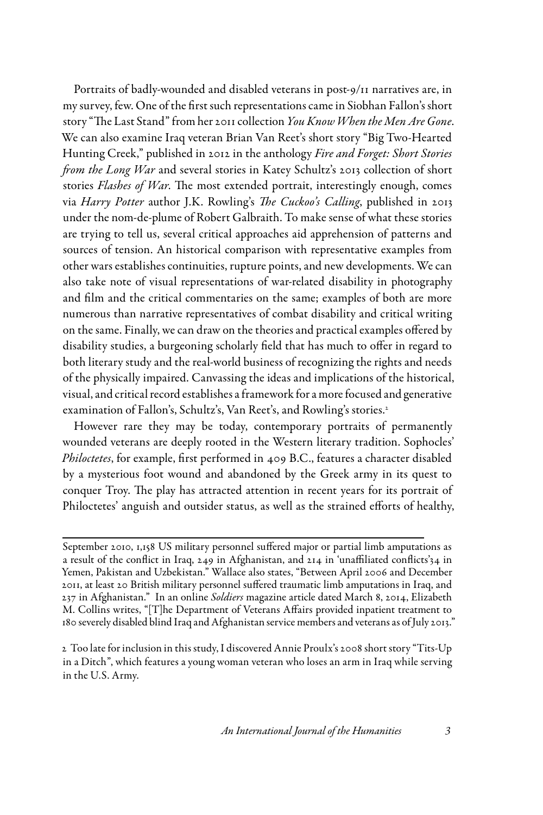Portraits of badly-wounded and disabled veterans in post-9/11 narratives are, in my survey, few. One of the first such representations came in Siobhan Fallon's short story "The Last Stand" from her 2011 collection *You Know When the Men Are Gone*. We can also examine Iraq veteran Brian Van Reet's short story "Big Two-Hearted Hunting Creek," published in 2012 in the anthology *Fire and Forget: Short Stories from the Long War* and several stories in Katey Schultz's 2013 collection of short stories *Flashes of War*. The most extended portrait, interestingly enough, comes via *Harry Potter* author J.K. Rowling's *The Cuckoo's Calling*, published in 2013 under the nom-de-plume of Robert Galbraith. To make sense of what these stories are trying to tell us, several critical approaches aid apprehension of patterns and sources of tension. An historical comparison with representative examples from other wars establishes continuities, rupture points, and new developments. We can also take note of visual representations of war-related disability in photography and film and the critical commentaries on the same; examples of both are more numerous than narrative representatives of combat disability and critical writing on the same. Finally, we can draw on the theories and practical examples offered by disability studies, a burgeoning scholarly field that has much to offer in regard to both literary study and the real-world business of recognizing the rights and needs of the physically impaired. Canvassing the ideas and implications of the historical, visual, and critical record establishes a framework for a more focused and generative examination of Fallon's, Schultz's, Van Reet's, and Rowling's stories.<sup>2</sup>

However rare they may be today, contemporary portraits of permanently wounded veterans are deeply rooted in the Western literary tradition. Sophocles' *Philoctetes*, for example, first performed in 409 B.C., features a character disabled by a mysterious foot wound and abandoned by the Greek army in its quest to conquer Troy. The play has attracted attention in recent years for its portrait of Philoctetes' anguish and outsider status, as well as the strained efforts of healthy,

September 2010, 1,158 US military personnel suffered major or partial limb amputations as a result of the conflict in Iraq, 249 in Afghanistan, and 214 in 'unaffiliated conflicts'34 in Yemen, Pakistan and Uzbekistan." Wallace also states, "Between April 2006 and December 2011, at least 20 British military personnel suffered traumatic limb amputations in Iraq, and 237 in Afghanistan." In an online *Soldiers* magazine article dated March 8, 2014, Elizabeth M. Collins writes, "[T]he Department of Veterans Affairs provided inpatient treatment to 180 severely disabled blind Iraq and Afghanistan service members and veterans as of July 2013."

<sup>2</sup> Too late for inclusion in this study, I discovered Annie Proulx's 2008 short story "Tits-Up in a Ditch", which features a young woman veteran who loses an arm in Iraq while serving in the U.S. Army.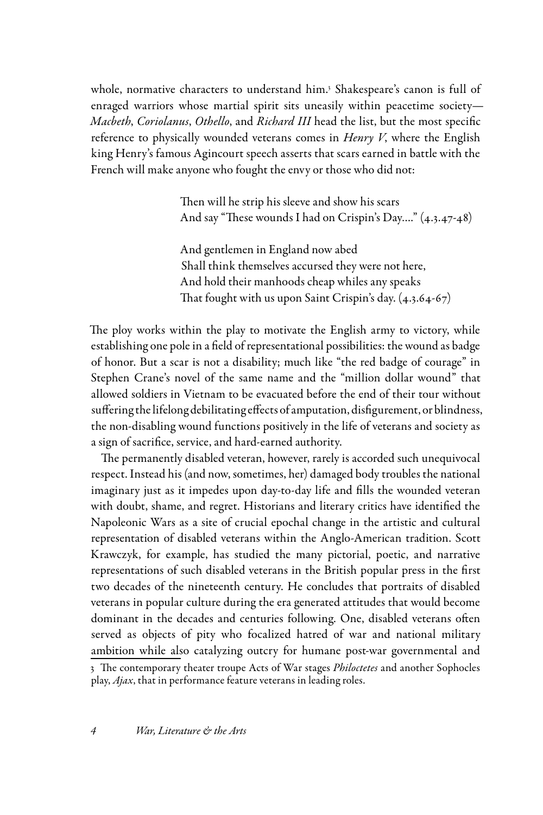whole, normative characters to understand him.<sup>3</sup> Shakespeare's canon is full of enraged warriors whose martial spirit sits uneasily within peacetime society— *Macbeth*, *Coriolanus*, *Othello*, and *Richard III* head the list, but the most specific reference to physically wounded veterans comes in *Henry V*, where the English king Henry's famous Agincourt speech asserts that scars earned in battle with the French will make anyone who fought the envy or those who did not:

> Then will he strip his sleeve and show his scars And say "These wounds I had on Crispin's Day…." (4.3.47-48)

And gentlemen in England now abed Shall think themselves accursed they were not here, And hold their manhoods cheap whiles any speaks That fought with us upon Saint Crispin's day.  $(4.3.64-67)$ 

The ploy works within the play to motivate the English army to victory, while establishing one pole in a field of representational possibilities: the wound as badge of honor. But a scar is not a disability; much like "the red badge of courage" in Stephen Crane's novel of the same name and the "million dollar wound" that allowed soldiers in Vietnam to be evacuated before the end of their tour without suffering the lifelong debilitating effects of amputation, disfigurement, or blindness, the non-disabling wound functions positively in the life of veterans and society as a sign of sacrifice, service, and hard-earned authority.

The permanently disabled veteran, however, rarely is accorded such unequivocal respect. Instead his (and now, sometimes, her) damaged body troubles the national imaginary just as it impedes upon day-to-day life and fills the wounded veteran with doubt, shame, and regret. Historians and literary critics have identified the Napoleonic Wars as a site of crucial epochal change in the artistic and cultural representation of disabled veterans within the Anglo-American tradition. Scott Krawczyk, for example, has studied the many pictorial, poetic, and narrative representations of such disabled veterans in the British popular press in the first two decades of the nineteenth century. He concludes that portraits of disabled veterans in popular culture during the era generated attitudes that would become dominant in the decades and centuries following. One, disabled veterans often served as objects of pity who focalized hatred of war and national military ambition while also catalyzing outcry for humane post-war governmental and 3 The contemporary theater troupe Acts of War stages *Philoctetes* and another Sophocles play, *Ajax*, that in performance feature veterans in leading roles.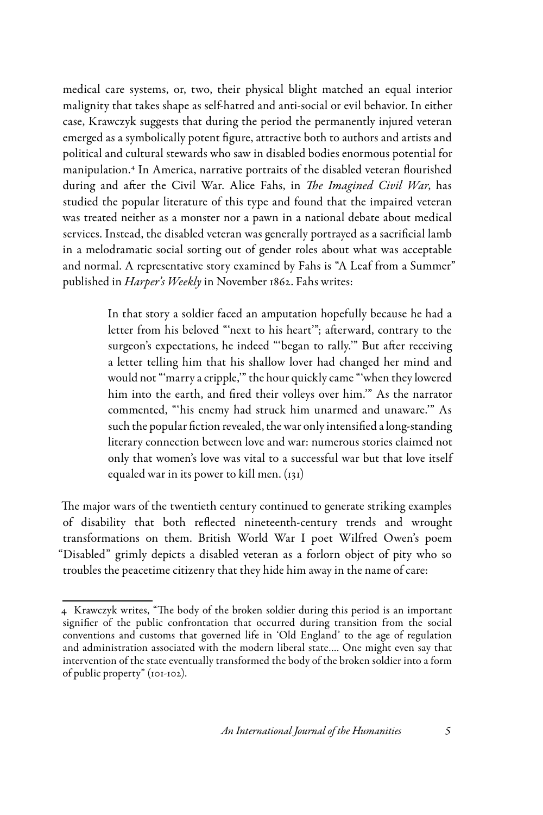medical care systems, or, two, their physical blight matched an equal interior malignity that takes shape as self-hatred and anti-social or evil behavior. In either case, Krawczyk suggests that during the period the permanently injured veteran emerged as a symbolically potent figure, attractive both to authors and artists and political and cultural stewards who saw in disabled bodies enormous potential for manipulation.4 In America, narrative portraits of the disabled veteran flourished during and after the Civil War. Alice Fahs, in *The Imagined Civil War*, has studied the popular literature of this type and found that the impaired veteran was treated neither as a monster nor a pawn in a national debate about medical services. Instead, the disabled veteran was generally portrayed as a sacrificial lamb in a melodramatic social sorting out of gender roles about what was acceptable and normal. A representative story examined by Fahs is "A Leaf from a Summer" published in *Harper's Weekly* in November 1862. Fahs writes:

> In that story a soldier faced an amputation hopefully because he had a letter from his beloved "'next to his heart'"; afterward, contrary to the surgeon's expectations, he indeed "'began to rally.'" But after receiving a letter telling him that his shallow lover had changed her mind and would not "'marry a cripple,'" the hour quickly came "'when they lowered him into the earth, and fired their volleys over him.'" As the narrator commented, "'his enemy had struck him unarmed and unaware.'" As such the popular fiction revealed, the war only intensified a long-standing literary connection between love and war: numerous stories claimed not only that women's love was vital to a successful war but that love itself equaled war in its power to kill men. (131)

The major wars of the twentieth century continued to generate striking examples of disability that both reflected nineteenth-century trends and wrought transformations on them. British World War I poet Wilfred Owen's poem "Disabled" grimly depicts a disabled veteran as a forlorn object of pity who so troubles the peacetime citizenry that they hide him away in the name of care:

<sup>4</sup> Krawczyk writes, "The body of the broken soldier during this period is an important signifier of the public confrontation that occurred during transition from the social conventions and customs that governed life in 'Old England' to the age of regulation and administration associated with the modern liberal state…. One might even say that intervention of the state eventually transformed the body of the broken soldier into a form of public property" (101-102).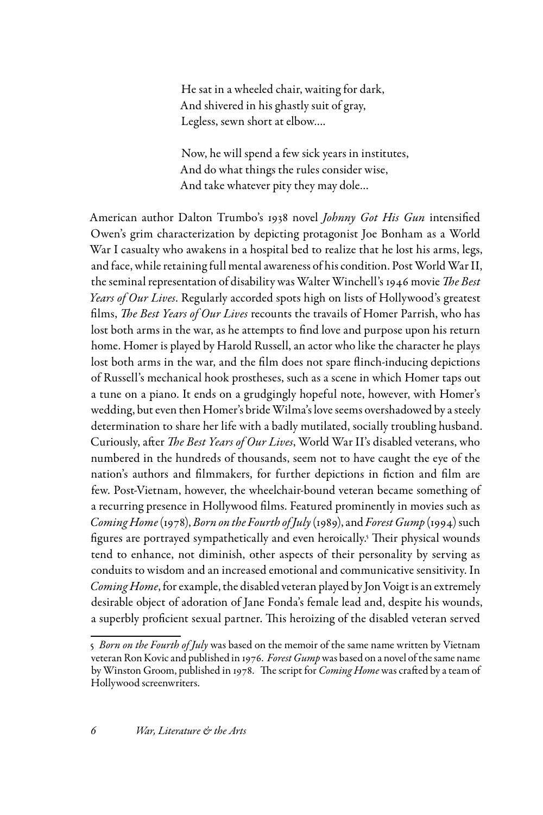He sat in a wheeled chair, waiting for dark, And shivered in his ghastly suit of gray, Legless, sewn short at elbow….

Now, he will spend a few sick years in institutes, And do what things the rules consider wise, And take whatever pity they may dole…

American author Dalton Trumbo's 1938 novel *Johnny Got His Gun* intensified Owen's grim characterization by depicting protagonist Joe Bonham as a World War I casualty who awakens in a hospital bed to realize that he lost his arms, legs, and face, while retaining full mental awareness of his condition. Post World War II, the seminal representation of disability was Walter Winchell's 1946 movie *The Best Years of Our Lives*. Regularly accorded spots high on lists of Hollywood's greatest films, *The Best Years of Our Lives* recounts the travails of Homer Parrish, who has lost both arms in the war, as he attempts to find love and purpose upon his return home. Homer is played by Harold Russell, an actor who like the character he plays lost both arms in the war, and the film does not spare flinch-inducing depictions of Russell's mechanical hook prostheses, such as a scene in which Homer taps out a tune on a piano. It ends on a grudgingly hopeful note, however, with Homer's wedding, but even then Homer's bride Wilma's love seems overshadowed by a steely determination to share her life with a badly mutilated, socially troubling husband. Curiously, after *The Best Years of Our Lives*, World War II's disabled veterans, who numbered in the hundreds of thousands, seem not to have caught the eye of the nation's authors and filmmakers, for further depictions in fiction and film are few. Post-Vietnam, however, the wheelchair-bound veteran became something of a recurring presence in Hollywood films. Featured prominently in movies such as *Coming Home* (1978), *Born on the Fourth of July* (1989), and *Forest Gump* (1994) such figures are portrayed sympathetically and even heroically.5 Their physical wounds tend to enhance, not diminish, other aspects of their personality by serving as conduits to wisdom and an increased emotional and communicative sensitivity. In *Coming Home*, for example, the disabled veteran played by Jon Voigt is an extremely desirable object of adoration of Jane Fonda's female lead and, despite his wounds, a superbly proficient sexual partner. This heroizing of the disabled veteran served

<sup>5</sup> *Born on the Fourth of July* was based on the memoir of the same name written by Vietnam veteran Ron Kovic and published in 1976. *Forest Gump* was based on a novel of the same name by Winston Groom, published in 1978. The script for *Coming Home* was crafted by a team of Hollywood screenwriters.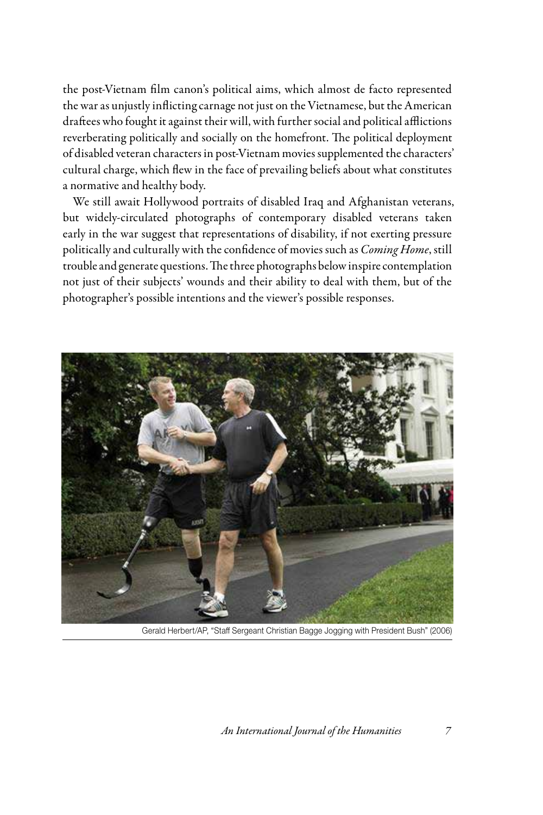the post-Vietnam film canon's political aims, which almost de facto represented the war as unjustly inflicting carnage not just on the Vietnamese, but the American draftees who fought it against their will, with further social and political afflictions reverberating politically and socially on the homefront. The political deployment of disabled veteran characters in post-Vietnam movies supplemented the characters' cultural charge, which flew in the face of prevailing beliefs about what constitutes a normative and healthy body.

We still await Hollywood portraits of disabled Iraq and Afghanistan veterans, but widely-circulated photographs of contemporary disabled veterans taken early in the war suggest that representations of disability, if not exerting pressure politically and culturally with the confidence of movies such as *Coming Home*, still trouble and generate questions. The three photographs below inspire contemplation not just of their subjects' wounds and their ability to deal with them, but of the photographer's possible intentions and the viewer's possible responses.



Gerald Herbert/AP, "Staff Sergeant Christian Bagge Jogging with President Bush" (2006)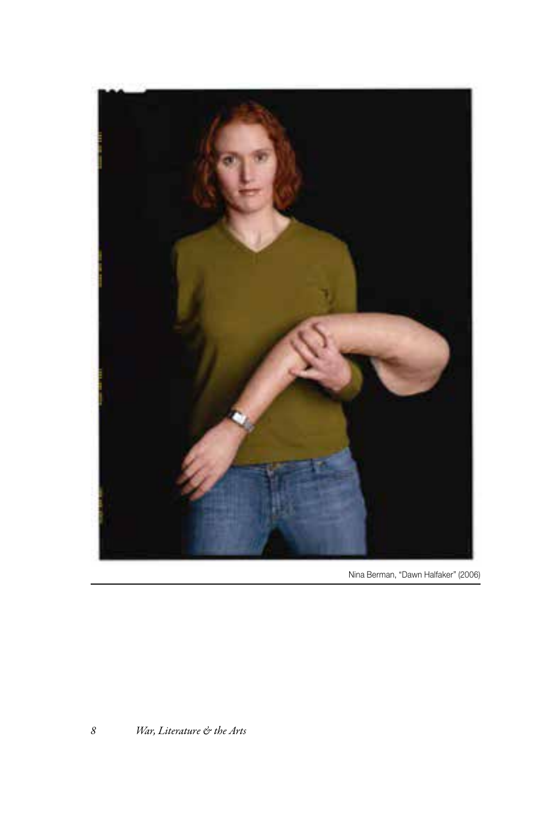

Nina Berman, "Dawn Halfaker" (2006)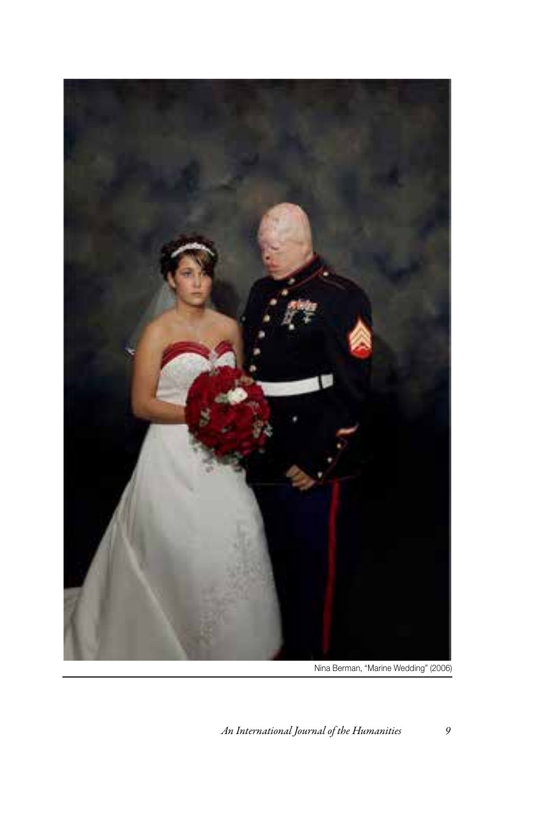

Nina Berman, "Marine Wedding" (2006)

*An International Journal of the Humanities 9*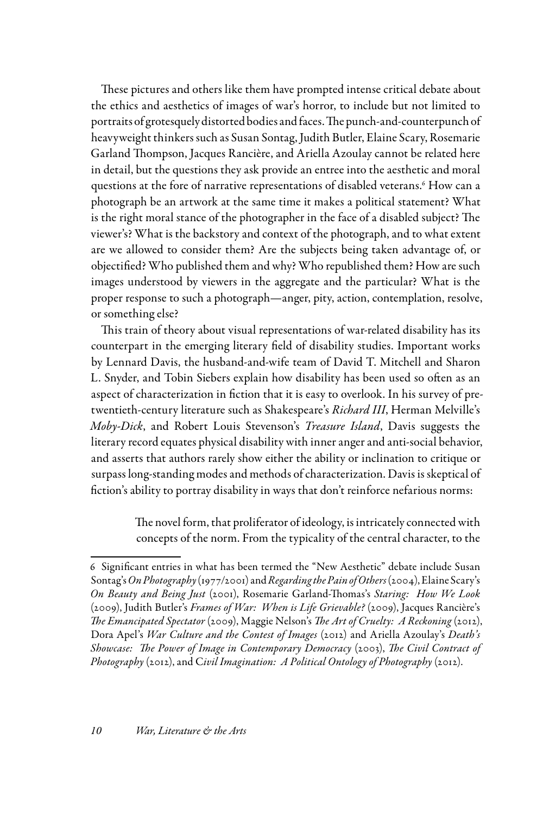These pictures and others like them have prompted intense critical debate about the ethics and aesthetics of images of war's horror, to include but not limited to portraits of grotesquely distorted bodies and faces. The punch-and-counterpunch of heavyweight thinkers such as Susan Sontag, Judith Butler, Elaine Scary, Rosemarie Garland Thompson, Jacques Rancière, and Ariella Azoulay cannot be related here in detail, but the questions they ask provide an entree into the aesthetic and moral questions at the fore of narrative representations of disabled veterans.6 How can a photograph be an artwork at the same time it makes a political statement? What is the right moral stance of the photographer in the face of a disabled subject? The viewer's? What is the backstory and context of the photograph, and to what extent are we allowed to consider them? Are the subjects being taken advantage of, or objectified? Who published them and why? Who republished them? How are such images understood by viewers in the aggregate and the particular? What is the proper response to such a photograph—anger, pity, action, contemplation, resolve, or something else?

This train of theory about visual representations of war-related disability has its counterpart in the emerging literary field of disability studies. Important works by Lennard Davis, the husband-and-wife team of David T. Mitchell and Sharon L. Snyder, and Tobin Siebers explain how disability has been used so often as an aspect of characterization in fiction that it is easy to overlook. In his survey of pretwentieth-century literature such as Shakespeare's *Richard III*, Herman Melville's *Moby-Dick*, and Robert Louis Stevenson's *Treasure Island*, Davis suggests the literary record equates physical disability with inner anger and anti-social behavior, and asserts that authors rarely show either the ability or inclination to critique or surpass long-standing modes and methods of characterization. Davis is skeptical of fiction's ability to portray disability in ways that don't reinforce nefarious norms:

> The novel form, that proliferator of ideology, is intricately connected with concepts of the norm. From the typicality of the central character, to the

<sup>6</sup> Significant entries in what has been termed the "New Aesthetic" debate include Susan Sontag's *On Photography* (1977/2001) and *Regarding the Pain of Others* (2004), Elaine Scary's *On Beauty and Being Just* (2001), Rosemarie Garland-Thomas's *Staring: How We Look* (2009), Judith Butler's *Frames of War: When is Life Grievable?* (2009), Jacques Rancière's *The Emancipated Spectator* (2009), Maggie Nelson's *The Art of Cruelty: A Reckoning* (2012), Dora Apel's *War Culture and the Contest of Images* (2012) and Ariella Azoulay's *Death's Showcase: The Power of Image in Contemporary Democracy* (2003), *The Civil Contract of Photography* (2012), and C*ivil Imagination: A Political Ontology of Photography* (2012).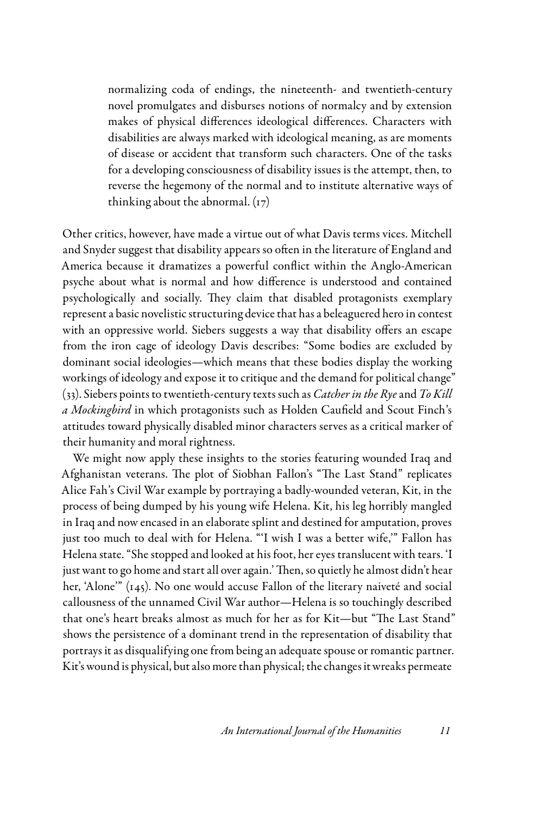normalizing coda of endings, the nineteenth- and twentieth-century novel promulgates and disburses notions of normalcy and by extension makes of physical differences ideological differences. Characters with disabilities are always marked with ideological meaning, as are moments of disease or accident that transform such characters. One of the tasks for a developing consciousness of disability issues is the attempt, then, to reverse the hegemony of the normal and to institute alternative ways of thinking about the abnormal.  $(r7)$ 

Other critics, however, have made a virtue out of what Davis terms vices. Mitchell and Snyder suggest that disability appears so often in the literature of England and America because it dramatizes a powerful conflict within the Anglo-American psyche about what is normal and how difference is understood and contained psychologically and socially. They claim that disabled protagonists exemplary represent a basic novelistic structuring device that has a beleaguered hero in contest with an oppressive world. Siebers suggests a way that disability offers an escape from the iron cage of ideology Davis describes: "Some bodies are excluded by dominant social ideologies—which means that these bodies display the working workings of ideology and expose it to critique and the demand for political change" (33). Siebers points to twentieth-century texts such as *Catcher in the Rye* and *To Kill a Mockingbird* in which protagonists such as Holden Caufield and Scout Finch's attitudes toward physically disabled minor characters serves as a critical marker of their humanity and moral rightness.

We might now apply these insights to the stories featuring wounded Iraq and Afghanistan veterans. The plot of Siobhan Fallon's "The Last Stand" replicates Alice Fah's Civil War example by portraying a badly-wounded veteran, Kit, in the process of being dumped by his young wife Helena. Kit, his leg horribly mangled in Iraq and now encased in an elaborate splint and destined for amputation, proves just too much to deal with for Helena. "'I wish I was a better wife,'" Fallon has Helena state. "She stopped and looked at his foot, her eyes translucent with tears. 'I just want to go home and start all over again.' Then, so quietly he almost didn't hear her, 'Alone'" (145). No one would accuse Fallon of the literary naiveté and social callousness of the unnamed Civil War author—Helena is so touchingly described that one's heart breaks almost as much for her as for Kit—but "The Last Stand" shows the persistence of a dominant trend in the representation of disability that portrays it as disqualifying one from being an adequate spouse or romantic partner. Kit's wound is physical, but also more than physical; the changes it wreaks permeate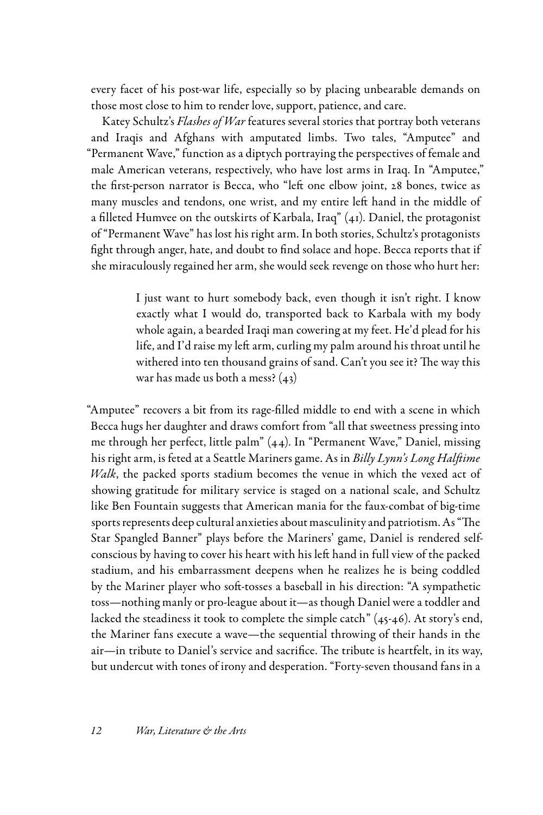every facet of his post-war life, especially so by placing unbearable demands on those most close to him to render love, support, patience, and care.

Katey Schultz's *Flashes of War* features several stories that portray both veterans and Iraqis and Afghans with amputated limbs. Two tales, "Amputee" and "Permanent Wave," function as a diptych portraying the perspectives of female and male American veterans, respectively, who have lost arms in Iraq. In "Amputee," the first-person narrator is Becca, who "left one elbow joint, 28 bones, twice as many muscles and tendons, one wrist, and my entire left hand in the middle of a filleted Humvee on the outskirts of Karbala, Iraq"  $(41)$ . Daniel, the protagonist of "Permanent Wave" has lost his right arm. In both stories, Schultz's protagonists fight through anger, hate, and doubt to find solace and hope. Becca reports that if she miraculously regained her arm, she would seek revenge on those who hurt her:

> I just want to hurt somebody back, even though it isn't right. I know exactly what I would do, transported back to Karbala with my body whole again, a bearded Iraqi man cowering at my feet. He'd plead for his life, and I'd raise my left arm, curling my palm around his throat until he withered into ten thousand grains of sand. Can't you see it? The way this war has made us both a mess? (43)

"Amputee" recovers a bit from its rage-filled middle to end with a scene in which Becca hugs her daughter and draws comfort from "all that sweetness pressing into me through her perfect, little palm" (44). In "Permanent Wave," Daniel, missing his right arm, is feted at a Seattle Mariners game. As in *Billy Lynn's Long Halftime Walk*, the packed sports stadium becomes the venue in which the vexed act of showing gratitude for military service is staged on a national scale, and Schultz like Ben Fountain suggests that American mania for the faux-combat of big-time sports represents deep cultural anxieties about masculinity and patriotism. As "The Star Spangled Banner" plays before the Mariners' game, Daniel is rendered selfconscious by having to cover his heart with his left hand in full view of the packed stadium, and his embarrassment deepens when he realizes he is being coddled by the Mariner player who soft-tosses a baseball in his direction: "A sympathetic toss—nothing manly or pro-league about it—as though Daniel were a toddler and lacked the steadiness it took to complete the simple catch" (45-46). At story's end, the Mariner fans execute a wave—the sequential throwing of their hands in the air—in tribute to Daniel's service and sacrifice. The tribute is heartfelt, in its way, but undercut with tones of irony and desperation. "Forty-seven thousand fans in a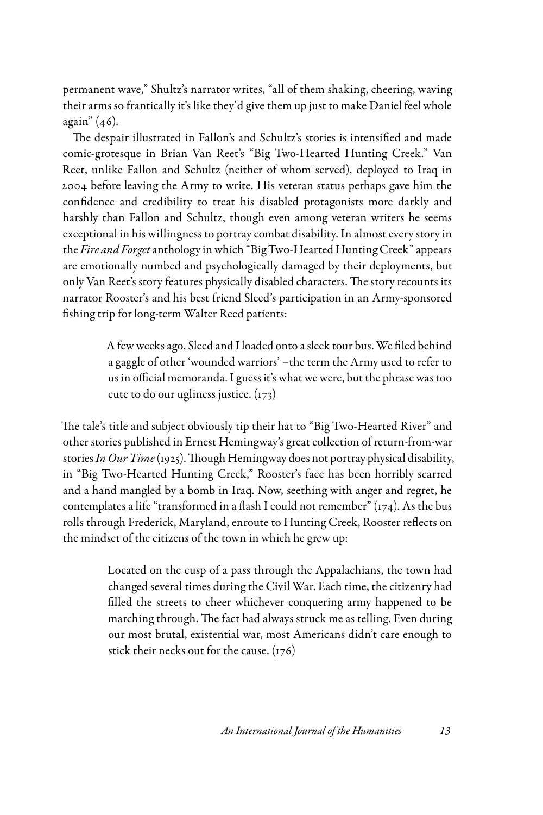permanent wave," Shultz's narrator writes, "all of them shaking, cheering, waving their arms so frantically it's like they'd give them up just to make Daniel feel whole again" (46).

The despair illustrated in Fallon's and Schultz's stories is intensified and made comic-grotesque in Brian Van Reet's "Big Two-Hearted Hunting Creek." Van Reet, unlike Fallon and Schultz (neither of whom served), deployed to Iraq in 2004 before leaving the Army to write. His veteran status perhaps gave him the confidence and credibility to treat his disabled protagonists more darkly and harshly than Fallon and Schultz, though even among veteran writers he seems exceptional in his willingness to portray combat disability. In almost every story in the *Fire and Forget* anthology in which "Big Two-Hearted Hunting Creek" appears are emotionally numbed and psychologically damaged by their deployments, but only Van Reet's story features physically disabled characters. The story recounts its narrator Rooster's and his best friend Sleed's participation in an Army-sponsored fishing trip for long-term Walter Reed patients:

> A few weeks ago, Sleed and I loaded onto a sleek tour bus. We filed behind a gaggle of other 'wounded warriors' –the term the Army used to refer to us in official memoranda. I guess it's what we were, but the phrase was too cute to do our ugliness justice. (173)

The tale's title and subject obviously tip their hat to "Big Two-Hearted River" and other stories published in Ernest Hemingway's great collection of return-from-war stories *In Our Time* (1925). Though Hemingway does not portray physical disability, in "Big Two-Hearted Hunting Creek," Rooster's face has been horribly scarred and a hand mangled by a bomb in Iraq. Now, seething with anger and regret, he contemplates a life "transformed in a flash I could not remember"  $(r<sub>74</sub>)$ . As the bus rolls through Frederick, Maryland, enroute to Hunting Creek, Rooster reflects on the mindset of the citizens of the town in which he grew up:

> Located on the cusp of a pass through the Appalachians, the town had changed several times during the Civil War. Each time, the citizenry had filled the streets to cheer whichever conquering army happened to be marching through. The fact had always struck me as telling. Even during our most brutal, existential war, most Americans didn't care enough to stick their necks out for the cause.  $(176)$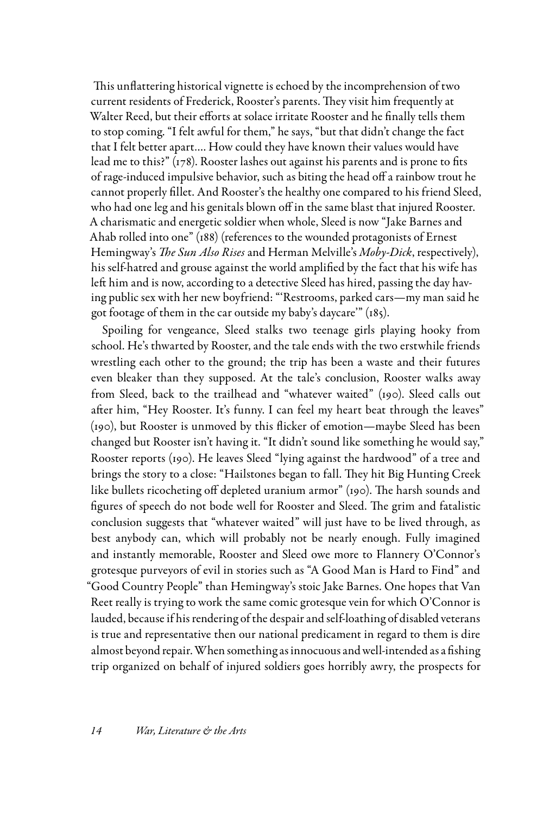This unflattering historical vignette is echoed by the incomprehension of two current residents of Frederick, Rooster's parents. They visit him frequently at Walter Reed, but their efforts at solace irritate Rooster and he finally tells them to stop coming. "I felt awful for them," he says, "but that didn't change the fact that I felt better apart…. How could they have known their values would have lead me to this?" (178). Rooster lashes out against his parents and is prone to fits of rage-induced impulsive behavior, such as biting the head off a rainbow trout he cannot properly fillet. And Rooster's the healthy one compared to his friend Sleed, who had one leg and his genitals blown off in the same blast that injured Rooster. A charismatic and energetic soldier when whole, Sleed is now "Jake Barnes and Ahab rolled into one" (188) (references to the wounded protagonists of Ernest Hemingway's *The Sun Also Rises* and Herman Melville's *Moby-Dick*, respectively), his self-hatred and grouse against the world amplified by the fact that his wife has left him and is now, according to a detective Sleed has hired, passing the day having public sex with her new boyfriend: "'Restrooms, parked cars—my man said he got footage of them in the car outside my baby's daycare'" (185).

Spoiling for vengeance, Sleed stalks two teenage girls playing hooky from school. He's thwarted by Rooster, and the tale ends with the two erstwhile friends wrestling each other to the ground; the trip has been a waste and their futures even bleaker than they supposed. At the tale's conclusion, Rooster walks away from Sleed, back to the trailhead and "whatever waited" (190). Sleed calls out after him, "Hey Rooster. It's funny. I can feel my heart beat through the leaves" (190), but Rooster is unmoved by this flicker of emotion—maybe Sleed has been changed but Rooster isn't having it. "It didn't sound like something he would say," Rooster reports (190). He leaves Sleed "lying against the hardwood" of a tree and brings the story to a close: "Hailstones began to fall. They hit Big Hunting Creek like bullets ricocheting off depleted uranium armor" (190). The harsh sounds and figures of speech do not bode well for Rooster and Sleed. The grim and fatalistic conclusion suggests that "whatever waited" will just have to be lived through, as best anybody can, which will probably not be nearly enough. Fully imagined and instantly memorable, Rooster and Sleed owe more to Flannery O'Connor's grotesque purveyors of evil in stories such as "A Good Man is Hard to Find" and "Good Country People" than Hemingway's stoic Jake Barnes. One hopes that Van Reet really is trying to work the same comic grotesque vein for which O'Connor is lauded, because if his rendering of the despair and self-loathing of disabled veterans is true and representative then our national predicament in regard to them is dire almost beyond repair. When something as innocuous and well-intended as a fishing trip organized on behalf of injured soldiers goes horribly awry, the prospects for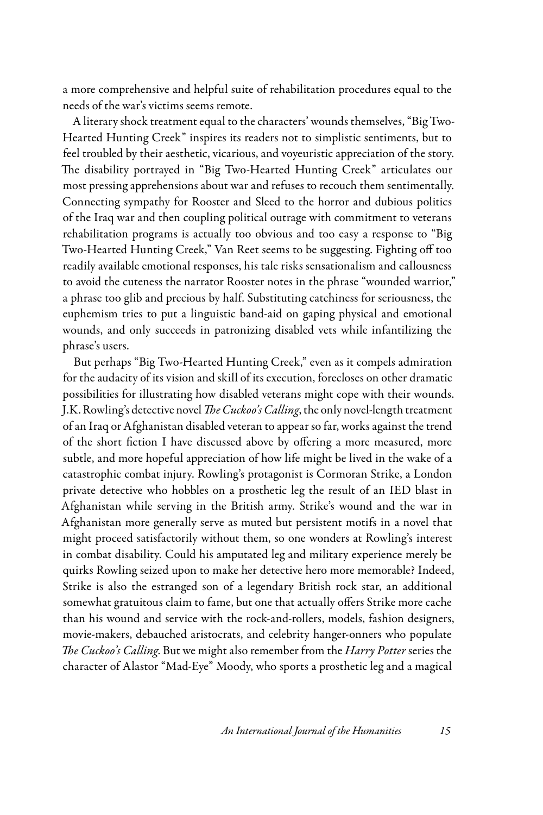a more comprehensive and helpful suite of rehabilitation procedures equal to the needs of the war's victims seems remote.

A literary shock treatment equal to the characters' wounds themselves, "Big Two-Hearted Hunting Creek" inspires its readers not to simplistic sentiments, but to feel troubled by their aesthetic, vicarious, and voyeuristic appreciation of the story. The disability portrayed in "Big Two-Hearted Hunting Creek" articulates our most pressing apprehensions about war and refuses to recouch them sentimentally. Connecting sympathy for Rooster and Sleed to the horror and dubious politics of the Iraq war and then coupling political outrage with commitment to veterans rehabilitation programs is actually too obvious and too easy a response to "Big Two-Hearted Hunting Creek," Van Reet seems to be suggesting. Fighting off too readily available emotional responses, his tale risks sensationalism and callousness to avoid the cuteness the narrator Rooster notes in the phrase "wounded warrior," a phrase too glib and precious by half. Substituting catchiness for seriousness, the euphemism tries to put a linguistic band-aid on gaping physical and emotional wounds, and only succeeds in patronizing disabled vets while infantilizing the phrase's users.

But perhaps "Big Two-Hearted Hunting Creek," even as it compels admiration for the audacity of its vision and skill of its execution, forecloses on other dramatic possibilities for illustrating how disabled veterans might cope with their wounds. J.K. Rowling's detective novel *The Cuckoo's Calling*, the only novel-length treatment of an Iraq or Afghanistan disabled veteran to appear so far, works against the trend of the short fiction I have discussed above by offering a more measured, more subtle, and more hopeful appreciation of how life might be lived in the wake of a catastrophic combat injury. Rowling's protagonist is Cormoran Strike, a London private detective who hobbles on a prosthetic leg the result of an IED blast in Afghanistan while serving in the British army. Strike's wound and the war in Afghanistan more generally serve as muted but persistent motifs in a novel that might proceed satisfactorily without them, so one wonders at Rowling's interest in combat disability. Could his amputated leg and military experience merely be quirks Rowling seized upon to make her detective hero more memorable? Indeed, Strike is also the estranged son of a legendary British rock star, an additional somewhat gratuitous claim to fame, but one that actually offers Strike more cache than his wound and service with the rock-and-rollers, models, fashion designers, movie-makers, debauched aristocrats, and celebrity hanger-onners who populate *The Cuckoo's Calling*. But we might also remember from the *Harry Potter* series the character of Alastor "Mad-Eye" Moody, who sports a prosthetic leg and a magical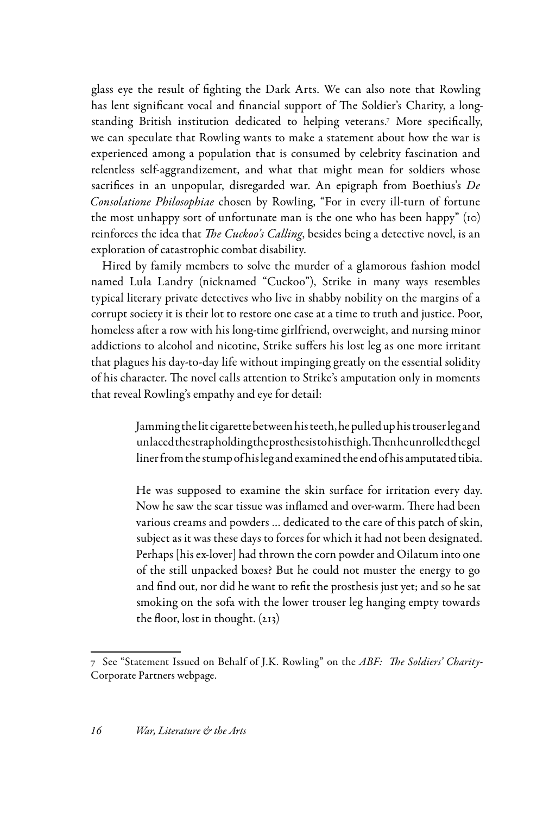glass eye the result of fighting the Dark Arts. We can also note that Rowling has lent significant vocal and financial support of The Soldier's Charity, a longstanding British institution dedicated to helping veterans.7 More specifically, we can speculate that Rowling wants to make a statement about how the war is experienced among a population that is consumed by celebrity fascination and relentless self-aggrandizement, and what that might mean for soldiers whose sacrifices in an unpopular, disregarded war. An epigraph from Boethius's *De Consolatione Philosophiae* chosen by Rowling, "For in every ill-turn of fortune the most unhappy sort of unfortunate man is the one who has been happy" (10) reinforces the idea that *The Cuckoo's Calling*, besides being a detective novel, is an exploration of catastrophic combat disability.

Hired by family members to solve the murder of a glamorous fashion model named Lula Landry (nicknamed "Cuckoo"), Strike in many ways resembles typical literary private detectives who live in shabby nobility on the margins of a corrupt society it is their lot to restore one case at a time to truth and justice. Poor, homeless after a row with his long-time girlfriend, overweight, and nursing minor addictions to alcohol and nicotine, Strike suffers his lost leg as one more irritant that plagues his day-to-day life without impinging greatly on the essential solidity of his character. The novel calls attention to Strike's amputation only in moments that reveal Rowling's empathy and eye for detail:

> Jamming the lit cigarette between his teeth, he pulled up his trouser leg and unlaced the strap holding the prosthesis to his thigh. Then he unrolled the gel liner from the stump of his leg and examined the end of his amputated tibia.

> He was supposed to examine the skin surface for irritation every day. Now he saw the scar tissue was inflamed and over-warm. There had been various creams and powders … dedicated to the care of this patch of skin, subject as it was these days to forces for which it had not been designated. Perhaps [his ex-lover] had thrown the corn powder and Oilatum into one of the still unpacked boxes? But he could not muster the energy to go and find out, nor did he want to refit the prosthesis just yet; and so he sat smoking on the sofa with the lower trouser leg hanging empty towards the floor, lost in thought. (213)

<sup>7</sup> See "Statement Issued on Behalf of J.K. Rowling" on the *ABF: The Soldiers' Charity*-Corporate Partners webpage.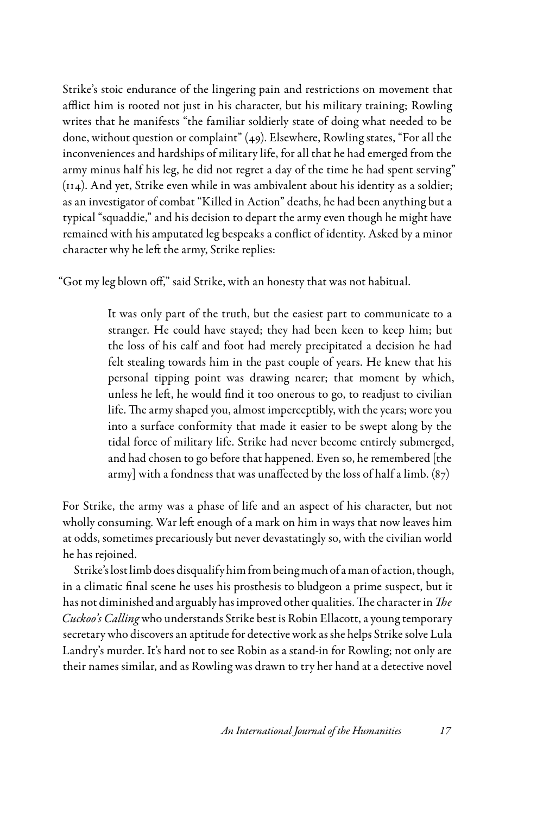Strike's stoic endurance of the lingering pain and restrictions on movement that afflict him is rooted not just in his character, but his military training; Rowling writes that he manifests "the familiar soldierly state of doing what needed to be done, without question or complaint" (49). Elsewhere, Rowling states, "For all the inconveniences and hardships of military life, for all that he had emerged from the army minus half his leg, he did not regret a day of the time he had spent serving" (114). And yet, Strike even while in was ambivalent about his identity as a soldier; as an investigator of combat "Killed in Action" deaths, he had been anything but a typical "squaddie," and his decision to depart the army even though he might have remained with his amputated leg bespeaks a conflict of identity. Asked by a minor character why he left the army, Strike replies:

"Got my leg blown off," said Strike, with an honesty that was not habitual.

It was only part of the truth, but the easiest part to communicate to a stranger. He could have stayed; they had been keen to keep him; but the loss of his calf and foot had merely precipitated a decision he had felt stealing towards him in the past couple of years. He knew that his personal tipping point was drawing nearer; that moment by which, unless he left, he would find it too onerous to go, to readjust to civilian life. The army shaped you, almost imperceptibly, with the years; wore you into a surface conformity that made it easier to be swept along by the tidal force of military life. Strike had never become entirely submerged, and had chosen to go before that happened. Even so, he remembered [the army] with a fondness that was unaffected by the loss of half a limb. (87)

For Strike, the army was a phase of life and an aspect of his character, but not wholly consuming. War left enough of a mark on him in ways that now leaves him at odds, sometimes precariously but never devastatingly so, with the civilian world he has rejoined.

Strike's lost limb does disqualify him from being much of a man of action, though, in a climatic final scene he uses his prosthesis to bludgeon a prime suspect, but it has not diminished and arguably has improved other qualities. The character in *The Cuckoo's Calling* who understands Strike best is Robin Ellacott, a young temporary secretary who discovers an aptitude for detective work as she helps Strike solve Lula Landry's murder. It's hard not to see Robin as a stand-in for Rowling; not only are their names similar, and as Rowling was drawn to try her hand at a detective novel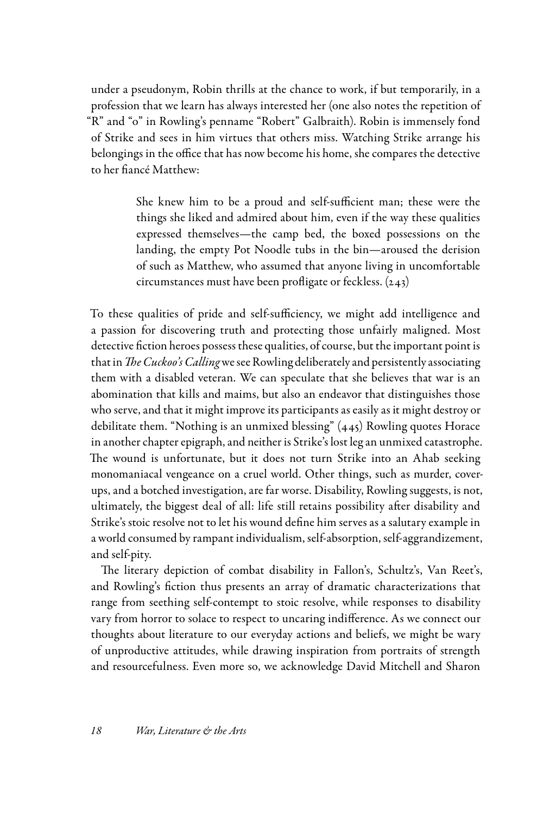under a pseudonym, Robin thrills at the chance to work, if but temporarily, in a profession that we learn has always interested her (one also notes the repetition of "R" and "o" in Rowling's penname "Robert" Galbraith). Robin is immensely fond of Strike and sees in him virtues that others miss. Watching Strike arrange his belongings in the office that has now become his home, she compares the detective to her fiancé Matthew:

> She knew him to be a proud and self-sufficient man; these were the things she liked and admired about him, even if the way these qualities expressed themselves—the camp bed, the boxed possessions on the landing, the empty Pot Noodle tubs in the bin—aroused the derision of such as Matthew, who assumed that anyone living in uncomfortable circumstances must have been profligate or feckless. (243)

To these qualities of pride and self-sufficiency, we might add intelligence and a passion for discovering truth and protecting those unfairly maligned. Most detective fiction heroes possess these qualities, of course, but the important point is that in *The Cuckoo's Calling* we see Rowling deliberately and persistently associating them with a disabled veteran. We can speculate that she believes that war is an abomination that kills and maims, but also an endeavor that distinguishes those who serve, and that it might improve its participants as easily as it might destroy or debilitate them. "Nothing is an unmixed blessing" (445) Rowling quotes Horace in another chapter epigraph, and neither is Strike's lost leg an unmixed catastrophe. The wound is unfortunate, but it does not turn Strike into an Ahab seeking monomaniacal vengeance on a cruel world. Other things, such as murder, coverups, and a botched investigation, are far worse. Disability, Rowling suggests, is not, ultimately, the biggest deal of all: life still retains possibility after disability and Strike's stoic resolve not to let his wound define him serves as a salutary example in a world consumed by rampant individualism, self-absorption, self-aggrandizement, and self-pity.

The literary depiction of combat disability in Fallon's, Schultz's, Van Reet's, and Rowling's fiction thus presents an array of dramatic characterizations that range from seething self-contempt to stoic resolve, while responses to disability vary from horror to solace to respect to uncaring indifference. As we connect our thoughts about literature to our everyday actions and beliefs, we might be wary of unproductive attitudes, while drawing inspiration from portraits of strength and resourcefulness. Even more so, we acknowledge David Mitchell and Sharon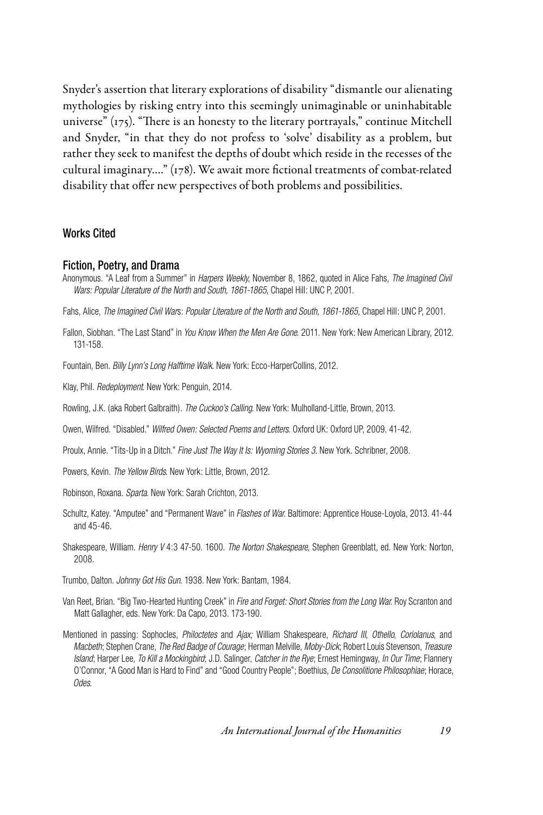Snyder's assertion that literary explorations of disability "dismantle our alienating mythologies by risking entry into this seemingly unimaginable or uninhabitable universe" (175). "There is an honesty to the literary portrayals," continue Mitchell and Snyder, "in that they do not profess to 'solve' disability as a problem, but rather they seek to manifest the depths of doubt which reside in the recesses of the cultural imaginary…." (178). We await more fictional treatments of combat-related disability that offer new perspectives of both problems and possibilities.

# Works Cited

#### Fiction, Poetry, and Drama

Anonymous. "A Leaf from a Summer" in *Harpers Weekly*, November 8, 1862, quoted in Alice Fahs, *The Imagined Civil Wars: Popular Literature of the North and South, 1861-1865*, Chapel Hill: UNC P, 2001.

Fahs, Alice, *The Imagined Civil War*s: *Popular Literature of the North and South, 1861-1865,* Chapel Hill: UNC P, 2001.

- Fallon, Siobhan. "The Last Stand" in *You Know When the Men Are Gone*. 2011. New York: New American Library, 2012. 131-158.
- Fountain, Ben. *Billy Lynn's Long Halftime Walk*. New York: Ecco-HarperCollins, 2012.

Klay, Phil. *Redeployment*. New York: Penguin, 2014.

- Rowling, J.K. (aka Robert Galbraith). *The Cuckoo's Calling*. New York: Mulholland-Little, Brown, 2013.
- Owen, Wilfred. "Disabled." *Wilfred Owen: Selected Poems and Letters*. Oxford UK: Oxford UP, 2009. 41-42.
- Proulx, Annie. "Tits-Up in a Ditch." *Fine Just The Way It Is: Wyoming Stories 3.* New York. Schribner, 2008.
- Powers, Kevin. *The Yellow Birds*. New York: Little, Brown, 2012.
- Robinson, Roxana. *Sparta*. New York: Sarah Crichton, 2013.
- Schultz, Katey. "Amputee" and "Permanent Wave" in *Flashes of War*. Baltimore: Apprentice House-Loyola, 2013. 41-44 and 45-46.
- Shakespeare, William. *Henry V* 4:3 47-50. 1600. *The Norton Shakespeare*, Stephen Greenblatt, ed. New York: Norton, 2008.

Trumbo, Dalton. *Johnny Got His Gun*. 1938. New York: Bantam, 1984.

- Van Reet, Brian. "Big Two-Hearted Hunting Creek" in *Fire and Forget: Short Stories from the Long War*. Roy Scranton and Matt Gallagher, eds. New York: Da Capo, 2013. 173-190.
- Mentioned in passing: Sophocles, *Philoctetes* and *Ajax;* William Shakespeare, *Richard III*, *Othello*, *Coriolanus*, and *Macbeth*; Stephen Crane, *The Red Badge of Courage*; Herman Melville, *Moby-Dick*; Robert Louis Stevenson, *Treasure Island*; Harper Lee, *To Kill a Mockingbird*; J.D. Salinger, *Catcher in the Rye*; Ernest Hemingway, *In Our Time*; Flannery O'Connor, "A Good Man is Hard to Find" and "Good Country People"; Boethius, *De Consolitione Philosophiae*; Horace, *Odes*.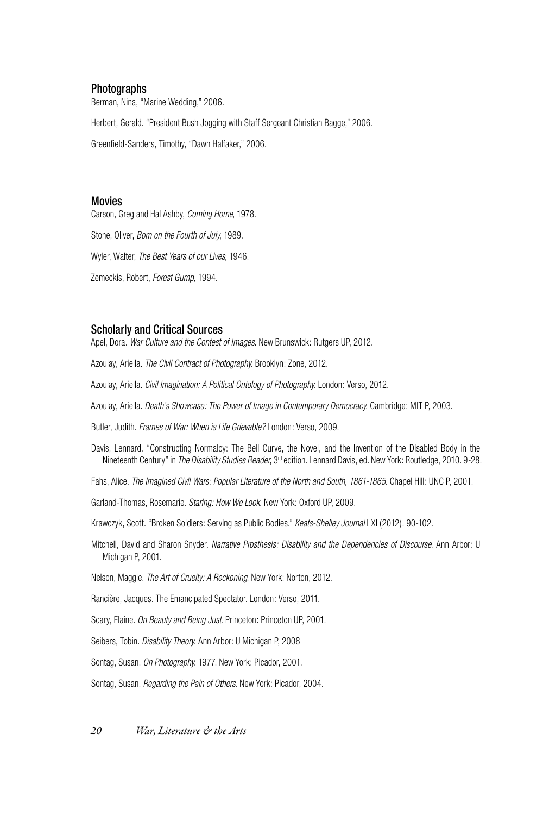## Photographs

Berman, Nina, "Marine Wedding," 2006.

Herbert, Gerald. "President Bush Jogging with Staff Sergeant Christian Bagge," 2006.

Greenfield-Sanders, Timothy, "Dawn Halfaker," 2006.

### Movies

Carson, Greg and Hal Ashby, *Coming Home*, 1978. Stone, Oliver, *Born on the Fourth of July*, 1989. Wyler, Walter, *The Best Years of our Lives*, 1946. Zemeckis, Robert, *Forest Gump,* 1994.

## Scholarly and Critical Sources

Apel, Dora. *War Culture and the Contest of Images*. New Brunswick: Rutgers UP, 2012.

Azoulay, Ariella. *The Civil Contract of Photography*. Brooklyn: Zone, 2012.

Azoulay, Ariella. *Civil Imagination: A Political Ontology of Photography*. London: Verso, 2012.

Azoulay, Ariella. *Death's Showcase: The Power of Image in Contemporary Democracy*. Cambridge: MIT P, 2003.

Butler, Judith. *Frames of War: When is Life Grievable?* London: Verso, 2009.

Davis, Lennard. "Constructing Normalcy: The Bell Curve, the Novel, and the Invention of the Disabled Body in the Nineteenth Century" in *The Disability Studies Reader*, 3rd edition. Lennard Davis, ed. New York: Routledge, 2010. 9-28.

Fahs, Alice. The Imagined Civil Wars: Popular Literature of the North and South, 1861-1865. Chapel Hill: UNC P, 2001.

Garland-Thomas, Rosemarie. *Staring: How We Look*. New York: Oxford UP, 2009.

Krawczyk, Scott. "Broken Soldiers: Serving as Public Bodies." *Keats-Shelley Journal* LXI (2012). 90-102.

Mitchell, David and Sharon Snyder. *Narrative Prosthesis: Disability and the Dependencies of Discourse*. Ann Arbor: U Michigan P, 2001.

Nelson, Maggie. *The Art of Cruelty: A Reckoning*. New York: Norton, 2012.

Rancière, Jacques. The Emancipated Spectator. London: Verso, 2011.

Scary, Elaine. *On Beauty and Being Just*. Princeton: Princeton UP, 2001.

Seibers, Tobin. *Disability Theory*. Ann Arbor: U Michigan P, 2008

Sontag, Susan. *On Photography*. 1977. New York: Picador, 2001.

Sontag, Susan. *Regarding the Pain of Others*. New York: Picador, 2004.

*20 War, Literature & the Arts*